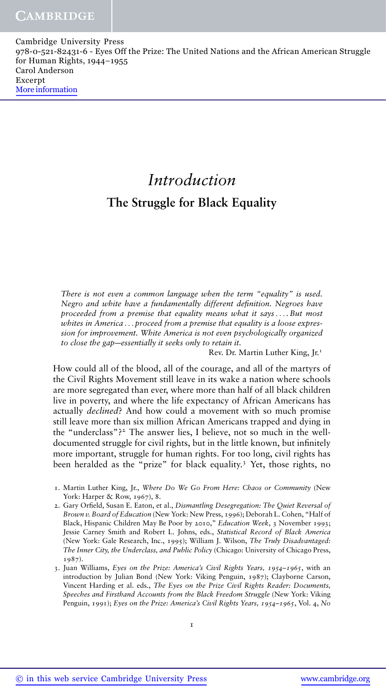## *Introduction*

### **The Struggle for Black Equality**

*There is not even a common language when the term "equality" is used. Negro and white have a fundamentally different definition. Negroes have proceeded from a premise that equality means what it says*... *. But most whites in America* ... *proceed from a premise that equality is a loose expression for improvement. White America is not even psychologically organized to close the gap—essentially it seeks only to retain it.*

Rev. Dr. Martin Luther King, Jr.<sup>1</sup>

How could all of the blood, all of the courage, and all of the martyrs of the Civil Rights Movement still leave in its wake a nation where schools are more segregated than ever, where more than half of all black children live in poverty, and where the life expectancy of African Americans has actually *declined*? And how could a movement with so much promise still leave more than six million African Americans trapped and dying in the "underclass"?<sup>2</sup> The answer lies, I believe, not so much in the welldocumented struggle for civil rights, but in the little known, but infinitely more important, struggle for human rights. For too long, civil rights has been heralded as the "prize" for black equality.<sup>3</sup> Yet, those rights, no

- 1. Martin Luther King, Jr., *Where Do We Go From Here: Chaos or Community* (New York: Harper & Row, 1967), 8.
- 2. Gary Orfield, Susan E. Eaton, et al., *Dismantling Desegregation: The Quiet Reversal of Brown v. Board of Education* (New York: New Press, 1996); Deborah L. Cohen, "Half of Black, Hispanic Children May Be Poor by 2010," *Education Week*, 3 November 1993; Jessie Carney Smith and Robert L. Johns, eds., *Statistical Record of Black America* (New York: Gale Research, Inc., 1995); William J. Wilson, *The Truly Disadvantaged: The Inner City, the Underclass, and Public Policy* (Chicago: University of Chicago Press, 1987).
- 3. Juan Williams, *Eyes on the Prize: America's Civil Rights Years, 1954–1965*, with an introduction by Julian Bond (New York: Viking Penguin, 1987); Clayborne Carson, Vincent Harding et al. eds., *The Eyes on the Prize Civil Rights Reader: Documents, Speeches and Firsthand Accounts from the Black Freedom Struggle* (New York: Viking Penguin, 1991); *Eyes on the Prize: America's Civil Rights Years, 1954–1965*, Vol. 4, *No*

1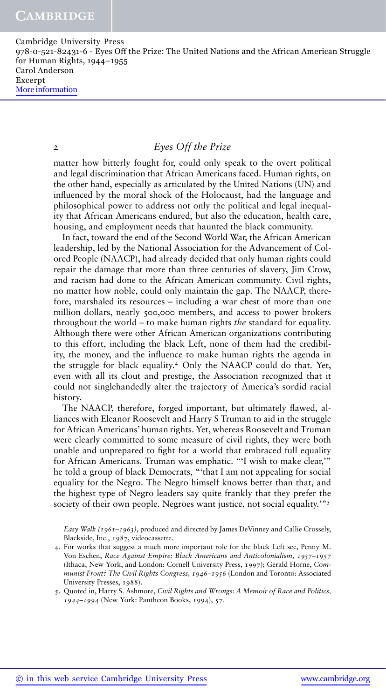### 2 *Eyes Off the Prize*

matter how bitterly fought for, could only speak to the overt political and legal discrimination that African Americans faced. Human rights, on the other hand, especially as articulated by the United Nations (UN) and influenced by the moral shock of the Holocaust, had the language and philosophical power to address not only the political and legal inequality that African Americans endured, but also the education, health care, housing, and employment needs that haunted the black community.

In fact, toward the end of the Second World War, the African American leadership, led by the National Association for the Advancement of Colored People (NAACP), had already decided that only human rights could repair the damage that more than three centuries of slavery, Jim Crow, and racism had done to the African American community. Civil rights, no matter how noble, could only maintain the gap. The NAACP, therefore, marshaled its resources – including a war chest of more than one million dollars, nearly 500,000 members, and access to power brokers throughout the world – to make human rights *the* standard for equality. Although there were other African American organizations contributing to this effort, including the black Left, none of them had the credibility, the money, and the influence to make human rights the agenda in the struggle for black equality.<sup>4</sup> Only the NAACP could do that. Yet, even with all its clout and prestige, the Association recognized that it could not singlehandedly alter the trajectory of America's sordid racial history.

The NAACP, therefore, forged important, but ultimately flawed, alliances with Eleanor Roosevelt and Harry S Truman to aid in the struggle for African Americans' human rights. Yet, whereas Roosevelt and Truman were clearly committed to some measure of civil rights, they were both unable and unprepared to fight for a world that embraced full equality for African Americans. Truman was emphatic. "'I wish to make clear,'" he told a group of black Democrats, "'that I am not appealing for social equality for the Negro. The Negro himself knows better than that, and the highest type of Negro leaders say quite frankly that they prefer the society of their own people. Negroes want justice, not social equality."<sup>5</sup>

*Easy Walk (1961–1963)*, produced and directed by James DeVinney and Callie Crossely, Blackside, Inc., 1987, videocassette.

- 4. For works that suggest a much more important role for the black Left see, Penny M. Von Eschen, *Race Against Empire: Black Americans and Anticolonialism, 1937–1957* (Ithaca, New York, and London: Cornell University Press, 1997); Gerald Horne, *Communist Front? The Civil Rights Congress, 1946–1956* (London and Toronto: Associated University Presses, 1988).
- 5. Quoted in, Harry S. Ashmore, *Civil Rights and Wrongs*: *A Memoir of Race and Politics, 1944–1994* (New York: Pantheon Books, 1994), 57.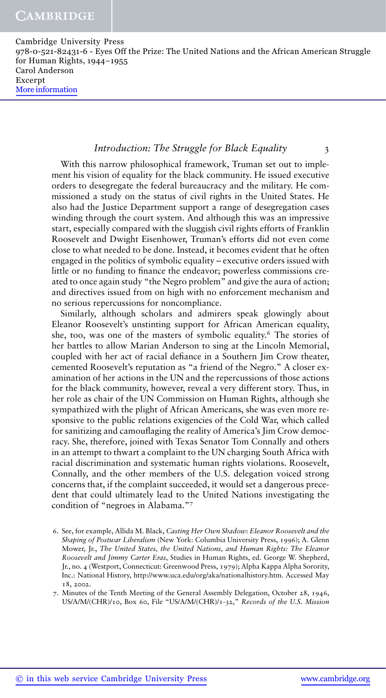#### *Introduction: The Struggle for Black Equality* 3

With this narrow philosophical framework, Truman set out to implement his vision of equality for the black community. He issued executive orders to desegregate the federal bureaucracy and the military. He commissioned a study on the status of civil rights in the United States. He also had the Justice Department support a range of desegregation cases winding through the court system. And although this was an impressive start, especially compared with the sluggish civil rights efforts of Franklin Roosevelt and Dwight Eisenhower, Truman's efforts did not even come close to what needed to be done. Instead, it becomes evident that he often engaged in the politics of symbolic equality – executive orders issued with little or no funding to finance the endeavor; powerless commissions created to once again study "the Negro problem" and give the aura of action; and directives issued from on high with no enforcement mechanism and no serious repercussions for noncompliance.

Similarly, although scholars and admirers speak glowingly about Eleanor Roosevelt's unstinting support for African American equality, she, too, was one of the masters of symbolic equality.<sup>6</sup> The stories of her battles to allow Marian Anderson to sing at the Lincoln Memorial, coupled with her act of racial defiance in a Southern Jim Crow theater, cemented Roosevelt's reputation as "a friend of the Negro." A closer examination of her actions in the UN and the repercussions of those actions for the black community, however, reveal a very different story. Thus, in her role as chair of the UN Commission on Human Rights, although she sympathized with the plight of African Americans, she was even more responsive to the public relations exigencies of the Cold War, which called for sanitizing and camouflaging the reality of America's Jim Crow democracy. She, therefore, joined with Texas Senator Tom Connally and others in an attempt to thwart a complaint to the UN charging South Africa with racial discrimination and systematic human rights violations. Roosevelt, Connally, and the other members of the U.S. delegation voiced strong concerns that, if the complaint succeeded, it would set a dangerous precedent that could ultimately lead to the United Nations investigating the condition of "negroes in Alabama."<sup>7</sup>

7. Minutes of the Tenth Meeting of the General Assembly Delegation, October 28, 1946, US/A/M/(CHR)/10, Box 60, File "US/A/M/(CHR)/1-32," *Records of the U.S. Mission*

<sup>6</sup>. See, for example, Allida M. Black, *Casting Her Own Shadow: Eleanor Roosevelt and the Shaping of Postwar Liberalism* (New York: Columbia University Press, 1996); A. Glenn Mower, Jr., *The United States, the United Nations, and Human Rights: The Eleanor Roosevelt and Jimmy Carter Eras*, Studies in Human Rights, ed. George W. Shepherd, Jr., no. 4 (Westport, Connecticut: Greenwood Press, 1979); Alpha Kappa Alpha Sorority, Inc.: National History, http://www.uca.edu/org/aka/nationalhistory.htm. Accessed May 18, 2002.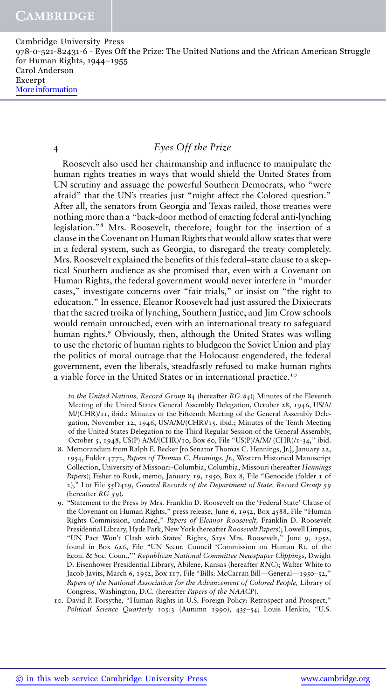#### 4 *Eyes Off the Prize*

Roosevelt also used her chairmanship and influence to manipulate the human rights treaties in ways that would shield the United States from UN scrutiny and assuage the powerful Southern Democrats, who "were afraid" that the UN's treaties just "might affect the Colored question." After all, the senators from Georgia and Texas railed, those treaties were nothing more than a "back-door method of enacting federal anti-lynching legislation."<sup>8</sup> Mrs. Roosevelt, therefore, fought for the insertion of a clause in the Covenant on Human Rights that would allow states that were in a federal system, such as Georgia, to disregard the treaty completely. Mrs. Roosevelt explained the benefits of this federal–state clause to a skeptical Southern audience as she promised that, even with a Covenant on Human Rights, the federal government would never interfere in "murder cases," investigate concerns over "fair trials," or insist on "the right to education." In essence, Eleanor Roosevelt had just assured the Dixiecrats that the sacred troika of lynching, Southern Justice, and Jim Crow schools would remain untouched, even with an international treaty to safeguard human rights.<sup>9</sup> Obviously, then, although the United States was willing to use the rhetoric of human rights to bludgeon the Soviet Union and play the politics of moral outrage that the Holocaust engendered, the federal government, even the liberals, steadfastly refused to make human rights a viable force in the United States or in international practice.<sup>10</sup>

*to the United Nations, Record Group* 84 (hereafter *RG 84*); Minutes of the Eleventh Meeting of the United States General Assembly Delegation, October 28, 1946, US/A/ M/(CHR)/11, ibid.; Minutes of the Fifteenth Meeting of the General Assembly Delegation, November 12, 1946, US/A/M/(CHR)/15, ibid.; Minutes of the Tenth Meeting of the United States Delegation to the Third Regular Session of the General Assembly, October 5, 1948, US(P) A/M/(CHR)/10, Box 60, File "US(P)/A/M/ (CHR)/1-34," ibid.

- 8. Memorandum from Ralph E. Becker [to Senator Thomas C. Hennings, Jr.], January 22, 1954, Folder 4772, *Papers of Thomas C. Hennings, Jr.*, Western Historical Manuscript Collection, University of Missouri–Columbia, Columbia, Missouri (hereafter *Hennings* Papers); Fisher to Rusk, memo, January 19, 1950, Box 8, File "Genocide (folder 1 of 2)," Lot File 55D429, *General Records of the Department of State, Record Group 59* (hereafter *RG 59*).
- 9. "Statement to the Press by Mrs. Franklin D. Roosevelt on the 'Federal State' Clause of the Covenant on Human Rights," press release, June 6, 1952, Box 4588, File "Human Rights Commission, undated," *Papers of Eleanor Roosevelt,* Franklin D. Roosevelt Presidential Library, Hyde Park, New York (hereafter *Roosevelt Papers*); Lowell Limpus, "UN Pact Won't Clash with States' Rights, Says Mrs. Roosevelt," June 9, 1952, found in Box 626, File "UN Secur. Council 'Commission on Human Rt. of the Econ. & Soc. Coun.,'" *Republican National Committee Newspaper Clippings,* Dwight D. Eisenhower Presidential Library, Abilene, Kansas (hereafter *RNC*); Walter White to Jacob Javits, March 6, 1952, Box 117, File "Bills: McCarran Bill—General—1950–52," *Papers of the National Association for the Advancement of Colored People,* Library of Congress, Washington, D.C. (hereafter *Papers of the NAACP*).
- 10. David P. Forsythe, "Human Rights in U.S. Foreign Policy: Retrospect and Prospect," *Political Science Quarterly* 105:3 (Autumn 1990), 435–54; Louis Henkin, "U.S.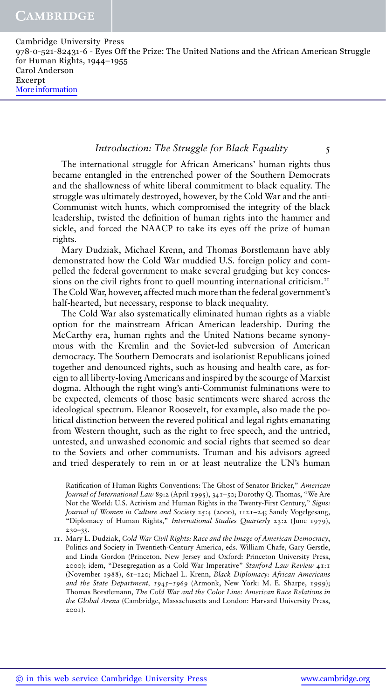#### *Introduction: The Struggle for Black Equality* 5

The international struggle for African Americans' human rights thus became entangled in the entrenched power of the Southern Democrats and the shallowness of white liberal commitment to black equality. The struggle was ultimately destroyed, however, by the Cold War and the anti-Communist witch hunts, which compromised the integrity of the black leadership, twisted the definition of human rights into the hammer and sickle, and forced the NAACP to take its eyes off the prize of human rights.

Mary Dudziak, Michael Krenn, and Thomas Borstlemann have ably demonstrated how the Cold War muddied U.S. foreign policy and compelled the federal government to make several grudging but key concessions on the civil rights front to quell mounting international criticism.<sup>11</sup> The Cold War, however, affected much more than the federal government's half-hearted, but necessary, response to black inequality.

The Cold War also systematically eliminated human rights as a viable option for the mainstream African American leadership. During the McCarthy era, human rights and the United Nations became synonymous with the Kremlin and the Soviet-led subversion of American democracy. The Southern Democrats and isolationist Republicans joined together and denounced rights, such as housing and health care, as foreign to all liberty-loving Americans and inspired by the scourge of Marxist dogma. Although the right wing's anti-Communist fulminations were to be expected, elements of those basic sentiments were shared across the ideological spectrum. Eleanor Roosevelt, for example, also made the political distinction between the revered political and legal rights emanating from Western thought, such as the right to free speech, and the untried, untested, and unwashed economic and social rights that seemed so dear to the Soviets and other communists. Truman and his advisors agreed and tried desperately to rein in or at least neutralize the UN's human

Ratification of Human Rights Conventions: The Ghost of Senator Bricker," *American Journal of International Law* 89:2 (April 1995), 341–50; Dorothy Q. Thomas, "We Are Not the World: U.S. Activism and Human Rights in the Twenty-First Century," *Signs: Journal of Women in Culture and Society* 25:4 (2000), 1121–24; Sandy Vogelgesang, "Diplomacy of Human Rights," *International Studies Quarterly* 23:2 (June 1979),  $230 - 35.$ 

11. Mary L. Dudziak, *Cold War Civil Rights: Race and the Image of American Democracy*, Politics and Society in Twentieth-Century America, eds. William Chafe, Gary Gerstle, and Linda Gordon (Princeton, New Jersey and Oxford: Princeton University Press, 2000); idem, "Desegregation as a Cold War Imperative" *Stanford Law Review* 41:1 (November 1988), 61–120; Michael L. Krenn, *Black Diplomacy: African Americans and the State Department, 1945–1969* (Armonk, New York: M. E. Sharpe, 1999); Thomas Borstlemann, *The Cold War and the Color Line: American Race Relations in the Global Arena* (Cambridge, Massachusetts and London: Harvard University Press, 2001).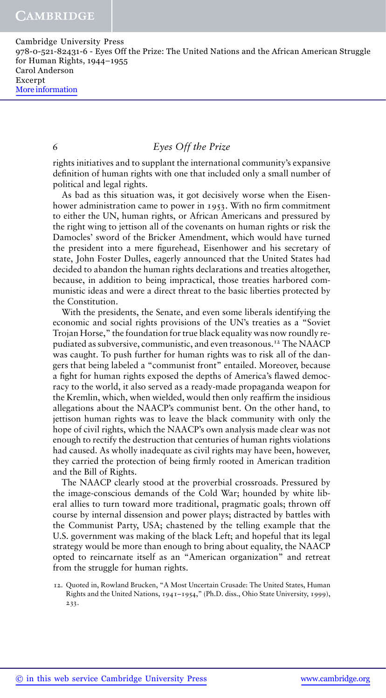### 6 *Eyes Off the Prize*

rights initiatives and to supplant the international community's expansive definition of human rights with one that included only a small number of political and legal rights.

As bad as this situation was, it got decisively worse when the Eisenhower administration came to power in 1953. With no firm commitment to either the UN, human rights, or African Americans and pressured by the right wing to jettison all of the covenants on human rights or risk the Damocles' sword of the Bricker Amendment, which would have turned the president into a mere figurehead, Eisenhower and his secretary of state, John Foster Dulles, eagerly announced that the United States had decided to abandon the human rights declarations and treaties altogether, because, in addition to being impractical, those treaties harbored communistic ideas and were a direct threat to the basic liberties protected by the Constitution.

With the presidents, the Senate, and even some liberals identifying the economic and social rights provisions of the UN's treaties as a "Soviet Trojan Horse," the foundation for true black equality was now roundly repudiated as subversive, communistic, and even treasonous.<sup>12</sup> The NAACP was caught. To push further for human rights was to risk all of the dangers that being labeled a "communist front" entailed. Moreover, because a fight for human rights exposed the depths of America's flawed democracy to the world, it also served as a ready-made propaganda weapon for the Kremlin, which, when wielded, would then only reaffirm the insidious allegations about the NAACP's communist bent. On the other hand, to jettison human rights was to leave the black community with only the hope of civil rights, which the NAACP's own analysis made clear was not enough to rectify the destruction that centuries of human rights violations had caused. As wholly inadequate as civil rights may have been, however, they carried the protection of being firmly rooted in American tradition and the Bill of Rights.

The NAACP clearly stood at the proverbial crossroads. Pressured by the image-conscious demands of the Cold War; hounded by white liberal allies to turn toward more traditional, pragmatic goals; thrown off course by internal dissension and power plays; distracted by battles with the Communist Party, USA; chastened by the telling example that the U.S. government was making of the black Left; and hopeful that its legal strategy would be more than enough to bring about equality, the NAACP opted to reincarnate itself as an "American organization" and retreat from the struggle for human rights.

12. Quoted in, Rowland Brucken, "A Most Uncertain Crusade: The United States, Human Rights and the United Nations, 1941–1954," (Ph.D. diss., Ohio State University, 1999), 233.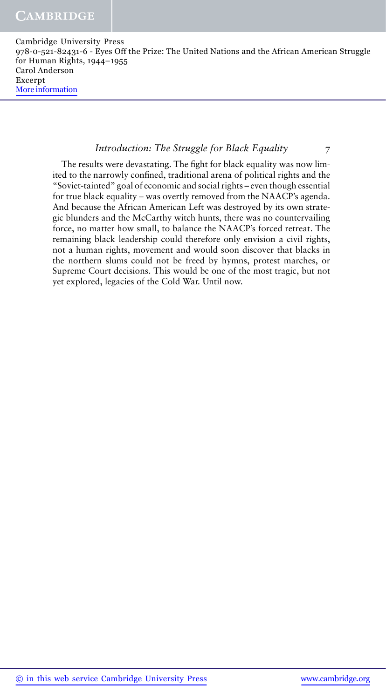### *Introduction: The Struggle for Black Equality*  $\frac{7}{7}$

The results were devastating. The fight for black equality was now limited to the narrowly confined, traditional arena of political rights and the "Soviet-tainted" goal of economic and social rights – even though essential for true black equality – was overtly removed from the NAACP's agenda. And because the African American Left was destroyed by its own strategic blunders and the McCarthy witch hunts, there was no countervailing force, no matter how small, to balance the NAACP's forced retreat. The remaining black leadership could therefore only envision a civil rights, not a human rights, movement and would soon discover that blacks in the northern slums could not be freed by hymns, protest marches, or Supreme Court decisions. This would be one of the most tragic, but not yet explored, legacies of the Cold War. Until now.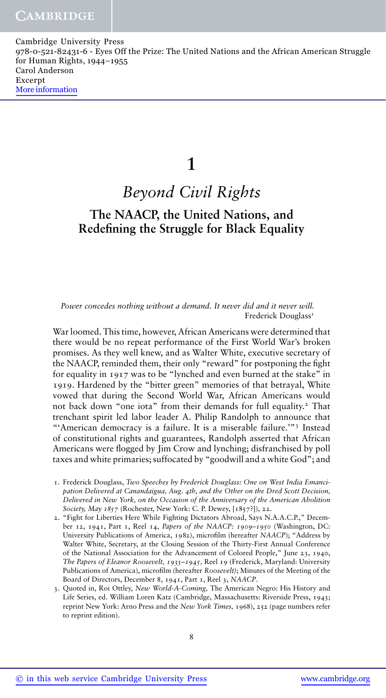# **1**

## *Beyond Civil Rights*

### **The NAACP, the United Nations, and Redefining the Struggle for Black Equality**

#### *Power concedes nothing without a demand. It never did and it never will.* Frederick Douglass<sup>1</sup>

War loomed. This time, however, African Americans were determined that there would be no repeat performance of the First World War's broken promises. As they well knew, and as Walter White, executive secretary of the NAACP, reminded them, their only "reward" for postponing the fight for equality in 1917 was to be "lynched and even burned at the stake" in 1919. Hardened by the "bitter green" memories of that betrayal, White vowed that during the Second World War, African Americans would not back down "one iota" from their demands for full equality.<sup>2</sup> That trenchant spirit led labor leader A. Philip Randolph to announce that "'American democracy is a failure. It is a miserable failure.'"<sup>3</sup> Instead of constitutional rights and guarantees, Randolph asserted that African Americans were flogged by Jim Crow and lynching; disfranchised by poll taxes and white primaries; suffocated by "goodwill and a white God"; and

- 1. Frederick Douglass, *Two Speeches by Frederick Douglass: One on West India Emancipation Delivered at Canandaigua, Aug. 4th, and the Other on the Dred Scott Decision, Delivered in New York, on the Occasion of the Anniversary of the American Abolition Society, May 1857* (Rochester, New York: C. P. Dewey, [1857?]), 22.
- 2. "Fight for Liberties Here While Fighting Dictators Abroad, Says N.A.A.C.P.," December 12, 1941, Part 1, Reel 14, *Papers of the NAACP: 1909–1950* (Washington, DC: University Publications of America, 1982), microfilm (hereafter *NAACP*); "Address by Walter White, Secretary, at the Closing Session of the Thirty-First Annual Conference of the National Association for the Advancement of Colored People," June 23, 1940, *The Papers of Eleanor Roosevelt, 1933–1945,* Reel 19 (Frederick, Maryland: University Publications of America), microfilm (hereafter *Roosevelt)*; Minutes of the Meeting of the Board of Directors, December 8, 1941, Part 1, Reel 3, *NAACP*.
- 3. Quoted in, Roi Ottley, *New World-A-Coming,* The American Negro: His History and Life Series, ed. William Loren Katz (Cambridge, Massachusetts: Riverside Press, 1943; reprint New York: Arno Press and the *New York Times,* 1968), 252 (page numbers refer to reprint edition).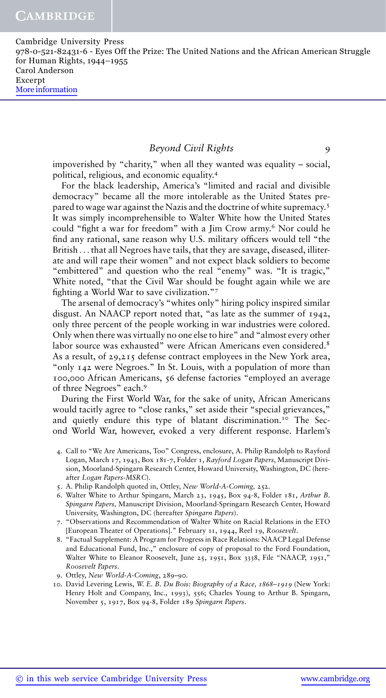#### *Beyond Civil Rights* 9

impoverished by "charity," when all they wanted was equality – social, political, religious, and economic equality.<sup>4</sup>

For the black leadership, America's "limited and racial and divisible democracy" became all the more intolerable as the United States prepared to wage war against the Nazis and the doctrine of white supremacy.<sup>5</sup> It was simply incomprehensible to Walter White how the United States could "fight a war for freedom" with a Jim Crow army.<sup>6</sup> Nor could he find any rational, sane reason why U.S. military officers would tell "the British ... that all Negroes have tails, that they are savage, diseased, illiterate and will rape their women" and not expect black soldiers to become "embittered" and question who the real "enemy" was. "It is tragic," White noted, "that the Civil War should be fought again while we are fighting a World War to save civilization."<sup>7</sup>

The arsenal of democracy's "whites only" hiring policy inspired similar disgust. An NAACP report noted that, "as late as the summer of 1942, only three percent of the people working in war industries were colored. Only when there was virtually no one else to hire" and "almost every other labor source was exhausted" were African Americans even considered.<sup>8</sup> As a result, of 29,215 defense contract employees in the New York area, "only 142 were Negroes." In St. Louis, with a population of more than 100,000 African Americans, 56 defense factories "employed an average of three Negroes" each.<sup>9</sup>

During the First World War, for the sake of unity, African Americans would tacitly agree to "close ranks," set aside their "special grievances," and quietly endure this type of blatant discrimination.<sup>10</sup> The Second World War, however, evoked a very different response. Harlem's

- 4. Call to "We Are Americans, Too" Congress, enclosure, A. Philip Randolph to Rayford Logan, March 17, 1943, Box 181-7, Folder 1, *Rayford Logan Papers*, Manuscript Division, Moorland-Spingarn Research Center, Howard University, Washington, DC (hereafter *Logan Papers-MSRC*).
- 5. A. Philip Randolph quoted in, Ottley, *New World-A-Coming,* 252.
- 6. Walter White to Arthur Spingarn, March 23, 1945, Box 94-8, Folder 181, *Arthur B. Spingarn Papers,* Manuscript Division, Moorland-Springarn Research Center, Howard University, Washington, DC (hereafter *Spingarn Papers*).
- 7. "Observations and Recommendation of Walter White on Racial Relations in the ETO [European Theater of Operations]." February 11, 1944, Reel 19, *Roosevelt*.
- 8. "Factual Supplement: A Program for Progress in Race Relations: NAACP Legal Defense and Educational Fund, Inc.," enclosure of copy of proposal to the Ford Foundation, Walter White to Eleanor Roosevelt, June 25, 1951, Box 3338, File "NAACP, 1951," *Roosevelt Papers*.
- 9. Ottley, *New World-A-Coming*, 289–90.
- 10. David Levering Lewis, *W. E. B. Du Bois: Biography of a Race, 1868–1919* (New York: Henry Holt and Company, Inc., 1993), 556; Charles Young to Arthur B. Spingarn, November 5, 1917, Box 94-8, Folder 189 *Spingarn Papers*.